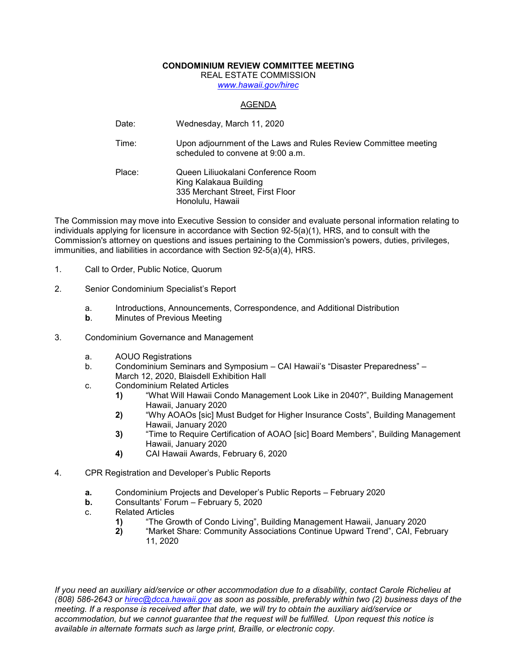## **CONDOMINIUM REVIEW COMMITTEE MEETING**

REAL ESTATE COMMISSION

*[www.hawaii.gov/hirec](http://www.state.hi.us/hirec)*

## AGENDA

- Date: Wednesday, March 11, 2020
- Time: Upon adjournment of the Laws and Rules Review Committee meeting scheduled to convene at 9:00 a.m.

Place: Queen Liliuokalani Conference Room King Kalakaua Building 335 Merchant Street, First Floor Honolulu, Hawaii

The Commission may move into Executive Session to consider and evaluate personal information relating to individuals applying for licensure in accordance with Section 92-5(a)(1), HRS, and to consult with the Commission's attorney on questions and issues pertaining to the Commission's powers, duties, privileges, immunities, and liabilities in accordance with Section 92-5(a)(4), HRS.

- 1. Call to Order, Public Notice, Quorum
- 2. Senior Condominium Specialist's Report
	- a. Introductions, Announcements, Correspondence, and Additional Distribution
	- **b.** Minutes of Previous Meeting
- 3. Condominium Governance and Management
	- a. AOUO Registrations
	- b. Condominium Seminars and Symposium CAI Hawaii's "Disaster Preparedness" March 12, 2020, Blaisdell Exhibition Hall
	- c. Condominium Related Articles
		- **1)** "What Will Hawaii Condo Management Look Like in 2040?", Building Management Hawaii, January 2020
		- **2)** "Why AOAOs [sic] Must Budget for Higher Insurance Costs", Building Management Hawaii, January 2020
		- **3)** "Time to Require Certification of AOAO [sic] Board Members", Building Management Hawaii, January 2020
		- **4)** CAI Hawaii Awards, February 6, 2020
- 4. CPR Registration and Developer's Public Reports
	- **a.** Condominium Projects and Developer's Public Reports February 2020
	- **b.** Consultants' Forum February 5, 2020
	- c. Related Articles
		- **1)** "The Growth of Condo Living", Building Management Hawaii, January 2020
		- **2)** "Market Share: Community Associations Continue Upward Trend", CAI, February 11, 2020

*If you need an auxiliary aid/service or other accommodation due to a disability, contact Carole Richelieu at (808) 586-2643 or [hirec@dcca.hawaii.gov](mailto:hirec@dcca.hawaii.gov) as soon as possible, preferably within two (2) business days of the meeting. If a response is received after that date, we will try to obtain the auxiliary aid/service or accommodation, but we cannot guarantee that the request will be fulfilled. Upon request this notice is available in alternate formats such as large print, Braille, or electronic copy.*